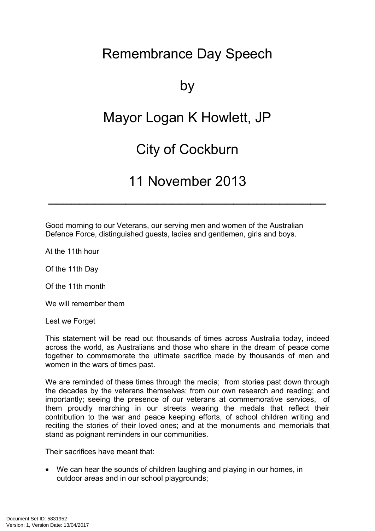# Remembrance Day Speech

## by

## Mayor Logan K Howlett, JP

#### City of Cockburn

#### 11 November 2013

 $\mathcal{L}_\text{max}$  and  $\mathcal{L}_\text{max}$  and  $\mathcal{L}_\text{max}$  are the contract of  $\mathcal{L}_\text{max}$ 

Good morning to our Veterans, our serving men and women of the Australian Defence Force, distinguished guests, ladies and gentlemen, girls and boys.

At the 11th hour

Of the 11th Day

Of the 11th month

We will remember them

Lest we Forget

This statement will be read out thousands of times across Australia today, indeed across the world, as Australians and those who share in the dream of peace come together to commemorate the ultimate sacrifice made by thousands of men and women in the wars of times past.

We are reminded of these times through the media; from stories past down through the decades by the veterans themselves; from our own research and reading; and importantly; seeing the presence of our veterans at commemorative services, of them proudly marching in our streets wearing the medals that reflect their contribution to the war and peace keeping efforts, of school children writing and reciting the stories of their loved ones; and at the monuments and memorials that stand as poignant reminders in our communities.

Their sacrifices have meant that:

 We can hear the sounds of children laughing and playing in our homes, in outdoor areas and in our school playgrounds;